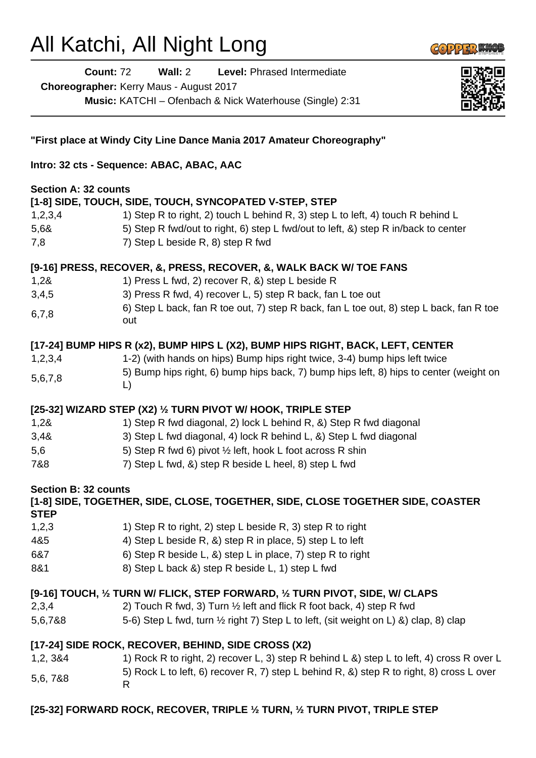## All Katchi, All Night Long



**Count:** 72 **Wall:** 2 **Level:** Phrased Intermediate

**Choreographer:** Kerry Maus - August 2017

**Music:** KATCHI – Ofenbach & Nick Waterhouse (Single) 2:31



| "First place at Windy City Line Dance Mania 2017 Amateur Choreography"                                                                                                                                                                                              |                                                                                                                                                                                                                                                                                                                                 |  |
|---------------------------------------------------------------------------------------------------------------------------------------------------------------------------------------------------------------------------------------------------------------------|---------------------------------------------------------------------------------------------------------------------------------------------------------------------------------------------------------------------------------------------------------------------------------------------------------------------------------|--|
| Intro: 32 cts - Sequence: ABAC, ABAC, AAC                                                                                                                                                                                                                           |                                                                                                                                                                                                                                                                                                                                 |  |
| <b>Section A: 32 counts</b><br>1,2,3,4<br>5,68<br>7,8                                                                                                                                                                                                               | [1-8] SIDE, TOUCH, SIDE, TOUCH, SYNCOPATED V-STEP, STEP<br>1) Step R to right, 2) touch L behind R, 3) step L to left, 4) touch R behind L<br>5) Step R fwd/out to right, 6) step L fwd/out to left, &) step R in/back to center<br>7) Step L beside R, 8) step R fwd                                                           |  |
| 1,28<br>3,4,5<br>6,7,8                                                                                                                                                                                                                                              | [9-16] PRESS, RECOVER, &, PRESS, RECOVER, &, WALK BACK W/ TOE FANS<br>1) Press L fwd, 2) recover R, &) step L beside R<br>3) Press R fwd, 4) recover L, 5) step R back, fan L toe out<br>6) Step L back, fan R toe out, 7) step R back, fan L toe out, 8) step L back, fan R toe<br>out                                         |  |
| 1,2,3,4<br>5,6,7,8                                                                                                                                                                                                                                                  | [17-24] BUMP HIPS R (x2), BUMP HIPS L (X2), BUMP HIPS RIGHT, BACK, LEFT, CENTER<br>1-2) (with hands on hips) Bump hips right twice, 3-4) bump hips left twice<br>5) Bump hips right, 6) bump hips back, 7) bump hips left, 8) hips to center (weight on<br>$\mathsf{L}$                                                         |  |
| 1,28<br>3,48<br>5,6<br>7&8                                                                                                                                                                                                                                          | [25-32] WIZARD STEP (X2) 1/2 TURN PIVOT W/ HOOK, TRIPLE STEP<br>1) Step R fwd diagonal, 2) lock L behind R, &) Step R fwd diagonal<br>3) Step L fwd diagonal, 4) lock R behind L, &) Step L fwd diagonal<br>5) Step R fwd 6) pivot 1/2 left, hook L foot across R shin<br>7) Step L fwd, &) step R beside L heel, 8) step L fwd |  |
| <b>Section B: 32 counts</b><br>[1-8] SIDE, TOGETHER, SIDE, CLOSE, TOGETHER, SIDE, CLOSE TOGETHER SIDE, COASTER<br><b>STEP</b>                                                                                                                                       |                                                                                                                                                                                                                                                                                                                                 |  |
| 1,2,3<br>4&5<br>6&7<br>8&1                                                                                                                                                                                                                                          | 1) Step R to right, 2) step L beside R, 3) step R to right<br>4) Step L beside R, &) step R in place, 5) step L to left<br>6) Step R beside L, &) step L in place, 7) step R to right<br>8) Step L back &) step R beside L, 1) step L fwd                                                                                       |  |
| [9-16] TOUCH, 1/2 TURN W/ FLICK, STEP FORWARD, 1/2 TURN PIVOT, SIDE, W/ CLAPS<br>2,3,4<br>2) Touch R fwd, 3) Turn 1/2 left and flick R foot back, 4) step R fwd<br>5-6) Step L fwd, turn 1/2 right 7) Step L to left, (sit weight on L) &) clap, 8) clap<br>5,6,7&8 |                                                                                                                                                                                                                                                                                                                                 |  |
| 1,2, 3&4<br>5,6, 7&8                                                                                                                                                                                                                                                | [17-24] SIDE ROCK, RECOVER, BEHIND, SIDE CROSS (X2)<br>1) Rock R to right, 2) recover L, 3) step R behind L &) step L to left, 4) cross R over L<br>5) Rock L to left, 6) recover R, 7) step L behind R, &) step R to right, 8) cross L over<br>R                                                                               |  |

## **[25-32] FORWARD ROCK, RECOVER, TRIPLE ½ TURN, ½ TURN PIVOT, TRIPLE STEP**